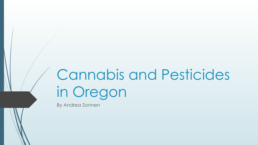# Cannabis and Pesticides in Oregon

By Andrea Sonnen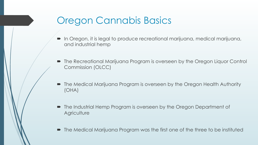# Oregon Cannabis Basics

- In Oregon, it is legal to produce recreational marijuana, medical marijuana, and industrial hemp
- The Recreational Marijuana Program is overseen by the Oregon Liquor Control Commission (OLCC)
- The Medical Marijuana Program is overseen by the Oregon Health Authority (OHA)
- The Industrial Hemp Program is overseen by the Oregon Department of **Agriculture**
- The Medical Marijuana Program was the first one of the three to be instituted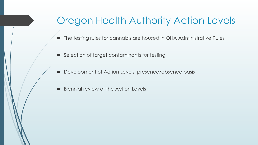# Oregon Health Authority Action Levels

- The testing rules for cannabis are housed in OHA Administrative Rules
- $\blacktriangleright$  Selection of target contaminants for testing
- $\blacksquare$  Development of Action Levels, presence/absence basis
- $\blacksquare$  Biennial review of the Action Levels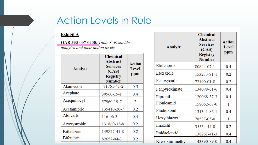# Action Levels in Rule

#### **Exhibit A**

OAR 333-007-0400: Table 3. Pesticide analytes and their action levels

| <b>Analyte</b>    | <b>Chemical</b><br><b>Abstract</b><br><b>Services</b><br>(CAS)<br><b>Registry</b><br><b>Number</b> | Action<br><b>Level</b><br>ppm |  |
|-------------------|----------------------------------------------------------------------------------------------------|-------------------------------|--|
| Abamectin         | 71751-41-2                                                                                         | 0.5                           |  |
| Acephate          | 30560-19-1                                                                                         | 0.4                           |  |
| Acequinocyl       | 57960-19-7                                                                                         | 2                             |  |
| Acetamiprid       | 135410-20-7                                                                                        | 0.2                           |  |
| Aldicarb          | 116-06-3                                                                                           | 0.4                           |  |
| Azoxystrobin      | 131860-33-8                                                                                        | 0.2                           |  |
| <b>Bifenazate</b> | 149877-41-8                                                                                        | 0.2                           |  |
| <b>Bifenthrin</b> | 82657-04-3                                                                                         | 0.2                           |  |
|                   |                                                                                                    |                               |  |

| <b>Analyte</b>  | <b>Chemical</b><br><b>Abstract</b><br><b>Services</b><br>(CAS)<br><b>Registry</b><br><b>Number</b> | <b>Action</b><br><b>Level</b><br>ppm |  |
|-----------------|----------------------------------------------------------------------------------------------------|--------------------------------------|--|
| Etofenprox      | 80844-07-1                                                                                         | 0.4                                  |  |
| Etoxazole       | 153233-91-1                                                                                        | 0.2                                  |  |
| Fenoxycarb      | 72490-01-8                                                                                         | 0.2                                  |  |
| Fenpyroximate   | 134098-61-6                                                                                        | 0.4                                  |  |
| Fipronil        | 120068-37-3                                                                                        | 0.4                                  |  |
| Flonicamid      | 158062-67-0                                                                                        | 1                                    |  |
| Fludioxonil     | 131341-86-1                                                                                        | 0.4                                  |  |
| Hexythiazox     | 78587-05-0                                                                                         | 1                                    |  |
| mazalil         | 35554-44-0                                                                                         | 0.2                                  |  |
| imidacloprid    | 138261-41-3                                                                                        | 0.4                                  |  |
| Kresoxim-methyl | 143390-89-0                                                                                        | 0.4                                  |  |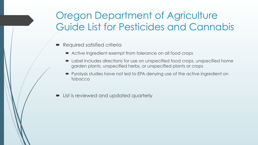# Oregon Department of Agriculture Guide List for Pesticides and Cannabis

- $\blacksquare$  Required satisfied criteria
	- Active Ingredient exempt from tolerance on all food crops
	- $\blacksquare$  Label includes directions for use on unspecified food crops, unspecified home garden plants, unspecified herbs, or unspecified plants or crops
	- Pyrolysis studies have not led to EPA denying use of the active ingredient on tobacco
- List is reviewed and updated quarterly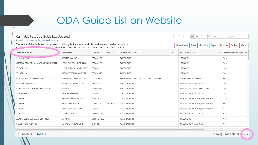# ODA Guide List on Website

| Cannabis Pesticide Guide List Updated<br>Based on Cannabis Pesticide Guide List<br>The intent of the list is to assist growers in distinguishing those pesticide products whose labels do not → |                                                                                      |             |             | $\overline{\Box}$<br>ふ f<br>$\frac{1}{100}$<br>$\mathbb{R}$<br>$\rightarrow$<br>Q. Find in this Dataset<br>More Views Filter<br>About<br>Visualize<br>Discuss<br>Embed<br>Export |                                   |                            |
|-------------------------------------------------------------------------------------------------------------------------------------------------------------------------------------------------|--------------------------------------------------------------------------------------|-------------|-------------|----------------------------------------------------------------------------------------------------------------------------------------------------------------------------------|-----------------------------------|----------------------------|
| $\sqrt{2}$<br><b>PRODUCT NAME</b>                                                                                                                                                               | sabie from those that classic do not allow use. The list is not an<br><b>COMPANY</b> | EPA RE      | <b>NOTE</b> | <b>ACTIVE INGREDIENT</b><br>个                                                                                                                                                    | <b>PESTICIDE TYPE</b>             | <b>AG WORKER PROTECTIO</b> |
| 20% VINEGAR                                                                                                                                                                                     | NATURE'S WISDOM                                                                      | 85208-1-90  |             | <b>ACETIC ACID</b>                                                                                                                                                               | <b>HERBICIDE</b>                  | Yes                        |
| GREEN GOBBLER 20% VINEGAR WEED KILLER                                                                                                                                                           | ECOCLEAN SOLUTIONS INC.                                                              | 85208-1-93  |             | <b>ACETIC ACID</b>                                                                                                                                                               | <b>HERBICIDE</b>                  | Yes                        |
| VINAGREEN                                                                                                                                                                                       | FLEISCHMANN'S VINEAGAR C                                                             | 85208-1     |             | ACETIC ACID                                                                                                                                                                      | <b>HERBICIDE</b>                  | Yes                        |
| VINAGREEN                                                                                                                                                                                       | CASCADE COLUMBIA DISTRI                                                              | 85208-1-73  |             | <b>ACETIC ACID</b>                                                                                                                                                               | <b>HERBICIDE</b>                  | Yes                        |
| R-T-U RO-PEL DEER & RABBIT REPELLENT                                                                                                                                                            | <b>GRANT LABORATORIES INC.</b>                                                       | 8119-8-1663 |             | AMMONIUM SOAPS OF HIGHER FATTY ACIDS                                                                                                                                             | <b>VERTEBRATE REPELLENT</b>       | No                         |
| AMAZIN 1.2% ME PLUS                                                                                                                                                                             | AMVAC CHEMICAL CORP                                                                  | 5481-559    |             | AZADIRACHTIN                                                                                                                                                                     | INSECTICIDE, NEMATICIDE           | Yes                        |
| AZA-DIRECT BOTANICAL INSECTICIDE                                                                                                                                                                | GOWAN CO.                                                                            | 71908-1-10  |             | AZADIRACHTIN                                                                                                                                                                     | INSECTICIDE, INSECT REPELLENT     | Yes                        |
| AZAGUARD                                                                                                                                                                                        | <b>BIOSAFE SYSTEMS LLC</b>                                                           | 70299-17    |             | AZADIRACHTIN                                                                                                                                                                     | INSECTICIDE, NEMATICIDE           | Yes                        |
| AZAMAX                                                                                                                                                                                          | <b>GENERAL HYDROPONICS</b>                                                           | 91865-4     |             | AZADIRACHTIN                                                                                                                                                                     | INSECTICIDE, MITICIDE, NEMATICIDE | YES                        |
| AZAMAX                                                                                                                                                                                          | PARRY AMERICA INC.                                                                   | 71908-1-81  | (Product    | AZADIRACHTIN                                                                                                                                                                     | INSECTICIDE, MITICIDE, NEMATICIDE | NO.                        |
| <b>AZAPRO</b>                                                                                                                                                                                   | CANN-CARE COMPANY                                                                    | 92629-1     |             | AZADIRACHTIN                                                                                                                                                                     | INSECTICIDE, MITICIDE, NEMATICIDE | YES                        |
| <b>AZASOL</b>                                                                                                                                                                                   | ARBORJET INC                                                                         | 81899-4-74  |             | AZADIRACHTIN                                                                                                                                                                     | INSECTICIDE, NEMATICIDE           | Yes                        |
| AZATIN XL BIOLOGICAL INSECTICIDE                                                                                                                                                                | OHP INC.                                                                             | 70051-27-5  |             | AZADIRACHTIN                                                                                                                                                                     | <b>INSECTICIDE</b>                | Yes                        |
| ECOZIN PLUS 1.2% ME                                                                                                                                                                             | AMVAC CHEMICAL CORP                                                                  | 5481-559    |             | AZADIRACHTIN                                                                                                                                                                     | INSECTICIDE, NEMATICIDE           | Yes                        |
| <b>A 200 A 200 A 200</b>                                                                                                                                                                        | .                                                                                    | ----- -     |             | .                                                                                                                                                                                | the contract states and contract  |                            |

< Previous  $Next >$  Showing Rows 1-100 out of 417